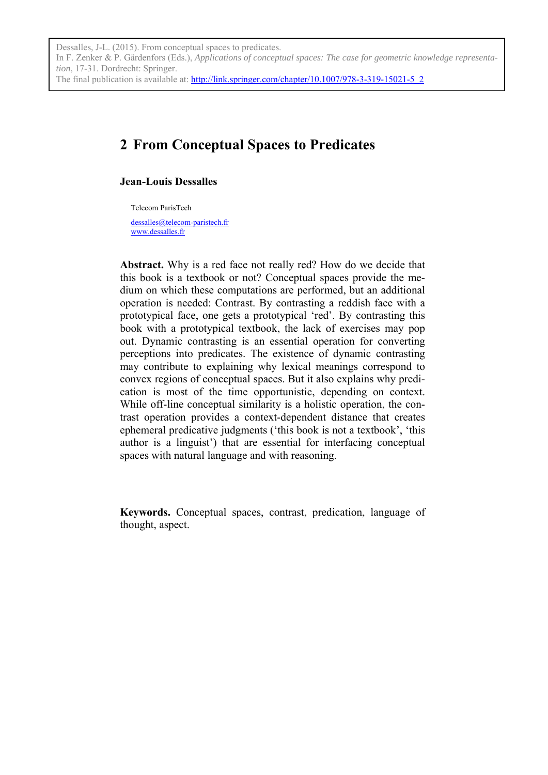Dessalles, J-L. (2015). From conceptual spaces to predicates. In F. Zenker & P. Gärdenfors (Eds.), *Applications of conceptual spaces: The case for geometric knowledge representation*, 17-31. Dordrecht: Springer. The final publication is available at: http://link.springer.com/chapter/10.1007/978-3-319-15021-5\_2

# **2 From Conceptual Spaces to Predicates**

## **Jean-Louis Dessalles**

Telecom ParisTech dessalles@telecom-paristech.fr www.dessalles.fr

**Abstract.** Why is a red face not really red? How do we decide that this book is a textbook or not? Conceptual spaces provide the medium on which these computations are performed, but an additional operation is needed: Contrast. By contrasting a reddish face with a prototypical face, one gets a prototypical 'red'. By contrasting this book with a prototypical textbook, the lack of exercises may pop out. Dynamic contrasting is an essential operation for converting perceptions into predicates. The existence of dynamic contrasting may contribute to explaining why lexical meanings correspond to convex regions of conceptual spaces. But it also explains why predication is most of the time opportunistic, depending on context. While off-line conceptual similarity is a holistic operation, the contrast operation provides a context-dependent distance that creates ephemeral predicative judgments ('this book is not a textbook', 'this author is a linguist') that are essential for interfacing conceptual spaces with natural language and with reasoning.

**Keywords.** Conceptual spaces, contrast, predication, language of thought, aspect.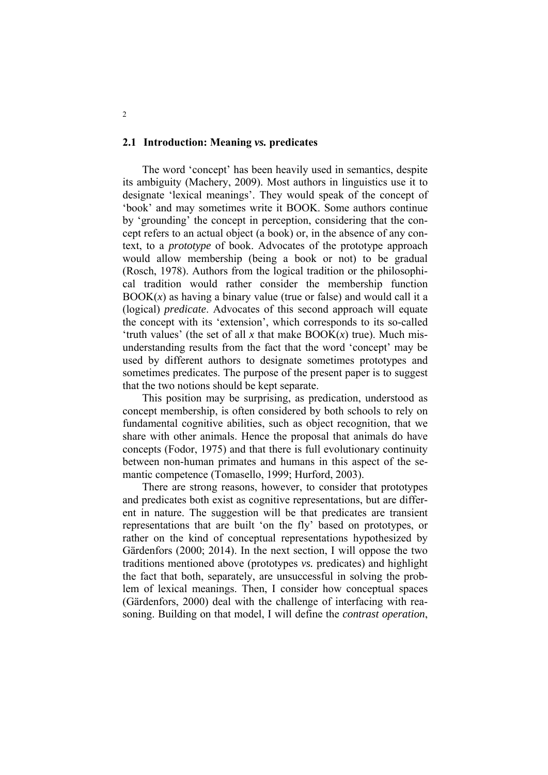#### **2.1 Introduction: Meaning** *vs.* **predicates**

The word 'concept' has been heavily used in semantics, despite its ambiguity (Machery, 2009). Most authors in linguistics use it to designate 'lexical meanings'. They would speak of the concept of 'book' and may sometimes write it BOOK. Some authors continue by 'grounding' the concept in perception, considering that the concept refers to an actual object (a book) or, in the absence of any context, to a *prototype* of book. Advocates of the prototype approach would allow membership (being a book or not) to be gradual (Rosch, 1978). Authors from the logical tradition or the philosophical tradition would rather consider the membership function  $BOOK(x)$  as having a binary value (true or false) and would call it a (logical) *predicate*. Advocates of this second approach will equate the concept with its 'extension', which corresponds to its so-called 'truth values' (the set of all *x* that make  $\text{BOOK}(x)$  true). Much misunderstanding results from the fact that the word 'concept' may be used by different authors to designate sometimes prototypes and sometimes predicates. The purpose of the present paper is to suggest that the two notions should be kept separate.

This position may be surprising, as predication, understood as concept membership, is often considered by both schools to rely on fundamental cognitive abilities, such as object recognition, that we share with other animals. Hence the proposal that animals do have concepts (Fodor, 1975) and that there is full evolutionary continuity between non-human primates and humans in this aspect of the semantic competence (Tomasello, 1999; Hurford, 2003).

There are strong reasons, however, to consider that prototypes and predicates both exist as cognitive representations, but are different in nature. The suggestion will be that predicates are transient representations that are built 'on the fly' based on prototypes, or rather on the kind of conceptual representations hypothesized by Gärdenfors (2000; 2014). In the next section, I will oppose the two traditions mentioned above (prototypes *vs.* predicates) and highlight the fact that both, separately, are unsuccessful in solving the problem of lexical meanings. Then, I consider how conceptual spaces (Gärdenfors, 2000) deal with the challenge of interfacing with reasoning. Building on that model, I will define the *contrast operation*,

2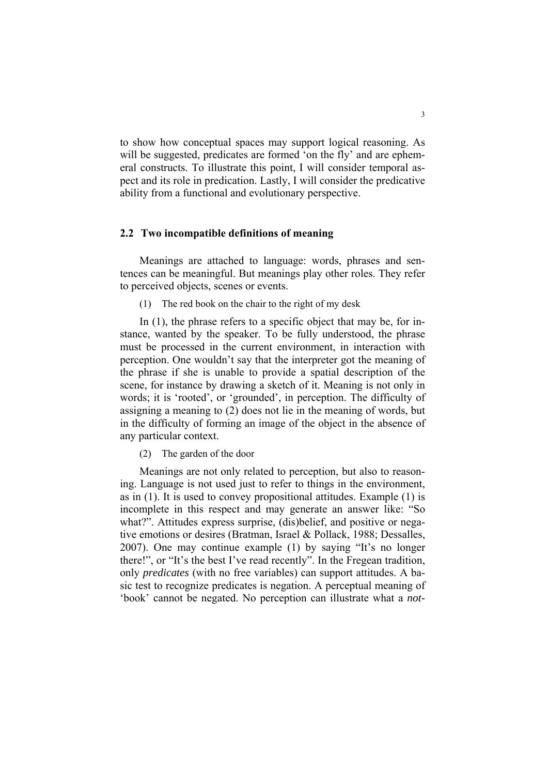to show how conceptual spaces may support logical reasoning. As will be suggested, predicates are formed 'on the fly' and are ephemeral constructs. To illustrate this point, I will consider temporal aspect and its role in predication. Lastly, I will consider the predicative ability from a functional and evolutionary perspective.

## **2.2 Two incompatible definitions of meaning**

Meanings are attached to language: words, phrases and sentences can be meaningful. But meanings play other roles. They refer to perceived objects, scenes or events.

(1) The red book on the chair to the right of my desk

In (1), the phrase refers to a specific object that may be, for instance, wanted by the speaker. To be fully understood, the phrase must be processed in the current environment, in interaction with perception. One wouldn't say that the interpreter got the meaning of the phrase if she is unable to provide a spatial description of the scene, for instance by drawing a sketch of it. Meaning is not only in words; it is 'rooted', or 'grounded', in perception. The difficulty of assigning a meaning to (2) does not lie in the meaning of words, but in the difficulty of forming an image of the object in the absence of any particular context.

(2) The garden of the door

Meanings are not only related to perception, but also to reasoning. Language is not used just to refer to things in the environment, as in (1). It is used to convey propositional attitudes. Example (1) is incomplete in this respect and may generate an answer like: "So what?". Attitudes express surprise, (dis)belief, and positive or negative emotions or desires (Bratman, Israel & Pollack, 1988; Dessalles, 2007). One may continue example (1) by saying "It's no longer there!", or "It's the best I've read recently". In the Fregean tradition, only *predicates* (with no free variables) can support attitudes. A basic test to recognize predicates is negation. A perceptual meaning of 'book' cannot be negated. No perception can illustrate what a *not-*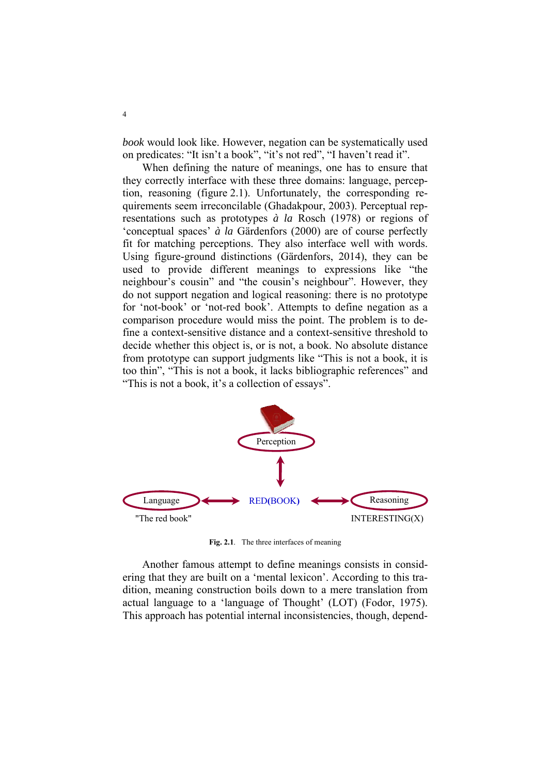*book* would look like. However, negation can be systematically used on predicates: "It isn't a book", "it's not red", "I haven't read it".

When defining the nature of meanings, one has to ensure that they correctly interface with these three domains: language, perception, reasoning (figure 2.1). Unfortunately, the corresponding requirements seem irreconcilable (Ghadakpour, 2003). Perceptual representations such as prototypes *à la* Rosch (1978) or regions of 'conceptual spaces' *à la* Gärdenfors (2000) are of course perfectly fit for matching perceptions. They also interface well with words. Using figure-ground distinctions (Gärdenfors, 2014), they can be used to provide different meanings to expressions like "the neighbour's cousin" and "the cousin's neighbour". However, they do not support negation and logical reasoning: there is no prototype for 'not-book' or 'not-red book'. Attempts to define negation as a comparison procedure would miss the point. The problem is to define a context-sensitive distance and a context-sensitive threshold to decide whether this object is, or is not, a book. No absolute distance from prototype can support judgments like "This is not a book, it is too thin", "This is not a book, it lacks bibliographic references" and "This is not a book, it's a collection of essays".



**Fig. 2.1**. The three interfaces of meaning

Another famous attempt to define meanings consists in considering that they are built on a 'mental lexicon'. According to this tradition, meaning construction boils down to a mere translation from actual language to a 'language of Thought' (LOT) (Fodor, 1975). This approach has potential internal inconsistencies, though, depend-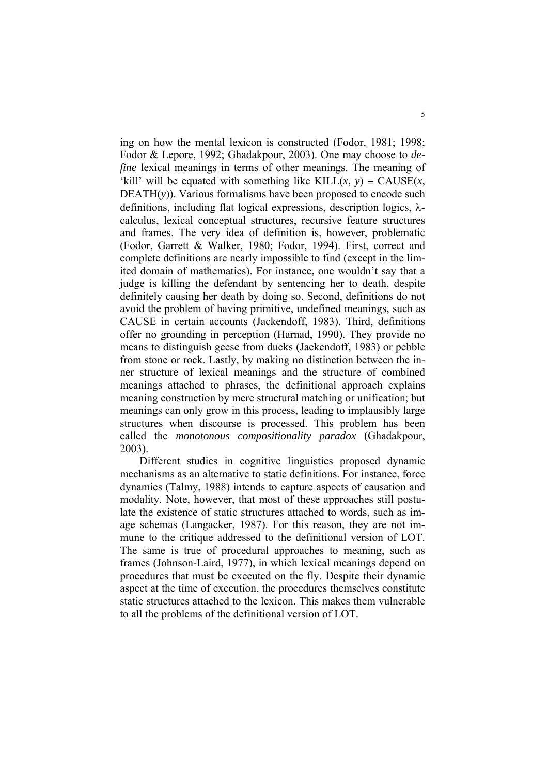ing on how the mental lexicon is constructed (Fodor, 1981; 1998; Fodor & Lepore, 1992; Ghadakpour, 2003). One may choose to *define* lexical meanings in terms of other meanings. The meaning of 'kill' will be equated with something like KILL $(x, y) = CAUSE(x, y)$ DEATH(*y*)). Various formalisms have been proposed to encode such definitions, including flat logical expressions, description logics,  $\lambda$ calculus, lexical conceptual structures, recursive feature structures and frames. The very idea of definition is, however, problematic (Fodor, Garrett & Walker, 1980; Fodor, 1994). First, correct and complete definitions are nearly impossible to find (except in the limited domain of mathematics). For instance, one wouldn't say that a judge is killing the defendant by sentencing her to death, despite definitely causing her death by doing so. Second, definitions do not avoid the problem of having primitive, undefined meanings, such as CAUSE in certain accounts (Jackendoff, 1983). Third, definitions offer no grounding in perception (Harnad, 1990). They provide no means to distinguish geese from ducks (Jackendoff, 1983) or pebble from stone or rock. Lastly, by making no distinction between the inner structure of lexical meanings and the structure of combined meanings attached to phrases, the definitional approach explains meaning construction by mere structural matching or unification; but meanings can only grow in this process, leading to implausibly large structures when discourse is processed. This problem has been called the *monotonous compositionality paradox* (Ghadakpour, 2003).

Different studies in cognitive linguistics proposed dynamic mechanisms as an alternative to static definitions. For instance, force dynamics (Talmy, 1988) intends to capture aspects of causation and modality. Note, however, that most of these approaches still postulate the existence of static structures attached to words, such as image schemas (Langacker, 1987). For this reason, they are not immune to the critique addressed to the definitional version of LOT. The same is true of procedural approaches to meaning, such as frames (Johnson-Laird, 1977), in which lexical meanings depend on procedures that must be executed on the fly. Despite their dynamic aspect at the time of execution, the procedures themselves constitute static structures attached to the lexicon. This makes them vulnerable to all the problems of the definitional version of LOT.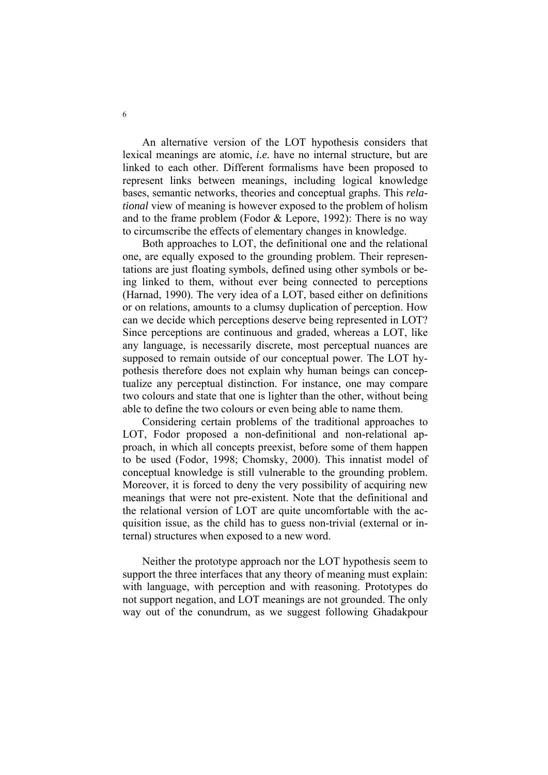An alternative version of the LOT hypothesis considers that lexical meanings are atomic, *i.e.* have no internal structure, but are linked to each other. Different formalisms have been proposed to represent links between meanings, including logical knowledge bases, semantic networks, theories and conceptual graphs. This *relational* view of meaning is however exposed to the problem of holism and to the frame problem (Fodor  $&$  Lepore, 1992): There is no way to circumscribe the effects of elementary changes in knowledge.

Both approaches to LOT, the definitional one and the relational one, are equally exposed to the grounding problem. Their representations are just floating symbols, defined using other symbols or being linked to them, without ever being connected to perceptions (Harnad, 1990). The very idea of a LOT, based either on definitions or on relations, amounts to a clumsy duplication of perception. How can we decide which perceptions deserve being represented in LOT? Since perceptions are continuous and graded, whereas a LOT, like any language, is necessarily discrete, most perceptual nuances are supposed to remain outside of our conceptual power. The LOT hypothesis therefore does not explain why human beings can conceptualize any perceptual distinction. For instance, one may compare two colours and state that one is lighter than the other, without being able to define the two colours or even being able to name them.

Considering certain problems of the traditional approaches to LOT, Fodor proposed a non-definitional and non-relational approach, in which all concepts preexist, before some of them happen to be used (Fodor, 1998; Chomsky, 2000). This innatist model of conceptual knowledge is still vulnerable to the grounding problem. Moreover, it is forced to deny the very possibility of acquiring new meanings that were not pre-existent. Note that the definitional and the relational version of LOT are quite uncomfortable with the acquisition issue, as the child has to guess non-trivial (external or internal) structures when exposed to a new word.

Neither the prototype approach nor the LOT hypothesis seem to support the three interfaces that any theory of meaning must explain: with language, with perception and with reasoning. Prototypes do not support negation, and LOT meanings are not grounded. The only way out of the conundrum, as we suggest following Ghadakpour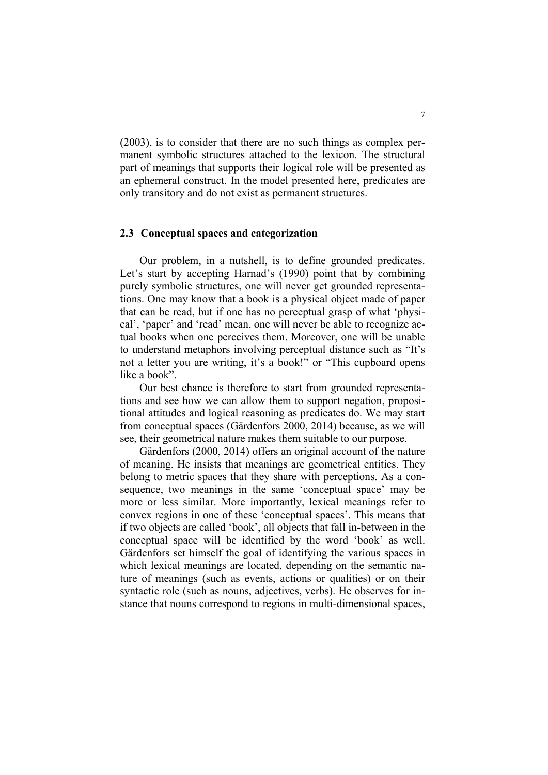(2003), is to consider that there are no such things as complex permanent symbolic structures attached to the lexicon. The structural part of meanings that supports their logical role will be presented as an ephemeral construct. In the model presented here, predicates are only transitory and do not exist as permanent structures.

### **2.3 Conceptual spaces and categorization**

Our problem, in a nutshell, is to define grounded predicates. Let's start by accepting Harnad's (1990) point that by combining purely symbolic structures, one will never get grounded representations. One may know that a book is a physical object made of paper that can be read, but if one has no perceptual grasp of what 'physical', 'paper' and 'read' mean, one will never be able to recognize actual books when one perceives them. Moreover, one will be unable to understand metaphors involving perceptual distance such as "It's not a letter you are writing, it's a book!" or "This cupboard opens like a book".

Our best chance is therefore to start from grounded representations and see how we can allow them to support negation, propositional attitudes and logical reasoning as predicates do. We may start from conceptual spaces (Gärdenfors 2000, 2014) because, as we will see, their geometrical nature makes them suitable to our purpose.

Gärdenfors (2000, 2014) offers an original account of the nature of meaning. He insists that meanings are geometrical entities. They belong to metric spaces that they share with perceptions. As a consequence, two meanings in the same 'conceptual space' may be more or less similar. More importantly, lexical meanings refer to convex regions in one of these 'conceptual spaces'. This means that if two objects are called 'book', all objects that fall in-between in the conceptual space will be identified by the word 'book' as well. Gärdenfors set himself the goal of identifying the various spaces in which lexical meanings are located, depending on the semantic nature of meanings (such as events, actions or qualities) or on their syntactic role (such as nouns, adjectives, verbs). He observes for instance that nouns correspond to regions in multi-dimensional spaces,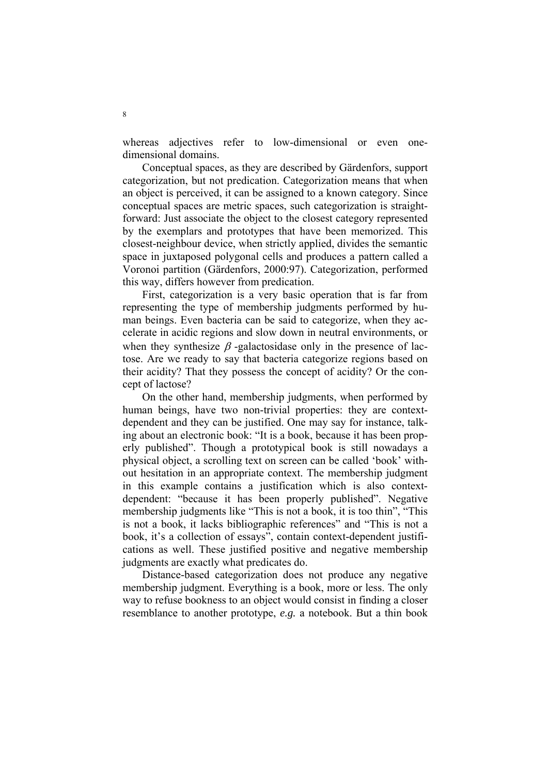whereas adjectives refer to low-dimensional or even onedimensional domains.

Conceptual spaces, as they are described by Gärdenfors, support categorization, but not predication. Categorization means that when an object is perceived, it can be assigned to a known category. Since conceptual spaces are metric spaces, such categorization is straightforward: Just associate the object to the closest category represented by the exemplars and prototypes that have been memorized. This closest-neighbour device, when strictly applied, divides the semantic space in juxtaposed polygonal cells and produces a pattern called a Voronoi partition (Gärdenfors, 2000:97). Categorization, performed this way, differs however from predication.

First, categorization is a very basic operation that is far from representing the type of membership judgments performed by human beings. Even bacteria can be said to categorize, when they accelerate in acidic regions and slow down in neutral environments, or when they synthesize  $\beta$  -galactosidase only in the presence of lactose. Are we ready to say that bacteria categorize regions based on their acidity? That they possess the concept of acidity? Or the concept of lactose?

On the other hand, membership judgments, when performed by human beings, have two non-trivial properties: they are contextdependent and they can be justified. One may say for instance, talking about an electronic book: "It is a book, because it has been properly published". Though a prototypical book is still nowadays a physical object, a scrolling text on screen can be called 'book' without hesitation in an appropriate context. The membership judgment in this example contains a justification which is also contextdependent: "because it has been properly published". Negative membership judgments like "This is not a book, it is too thin", "This is not a book, it lacks bibliographic references" and "This is not a book, it's a collection of essays", contain context-dependent justifications as well. These justified positive and negative membership judgments are exactly what predicates do.

Distance-based categorization does not produce any negative membership judgment. Everything is a book, more or less. The only way to refuse bookness to an object would consist in finding a closer resemblance to another prototype, *e.g.* a notebook. But a thin book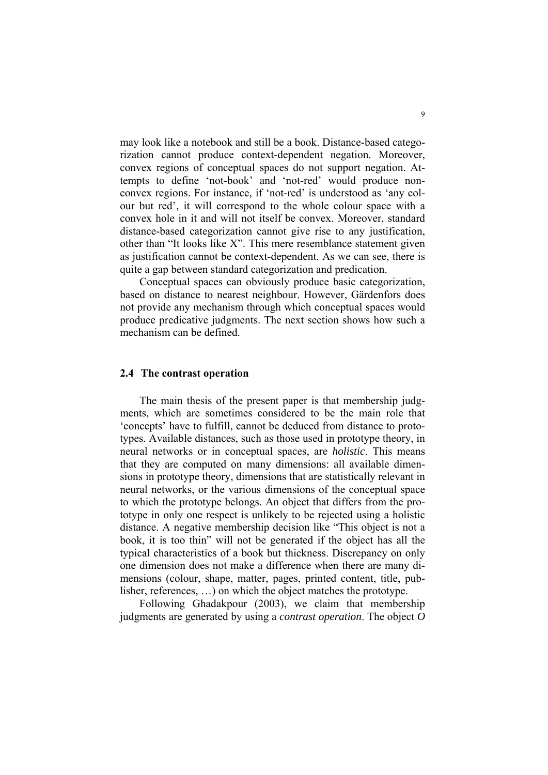may look like a notebook and still be a book. Distance-based categorization cannot produce context-dependent negation. Moreover, convex regions of conceptual spaces do not support negation. Attempts to define 'not-book' and 'not-red' would produce nonconvex regions. For instance, if 'not-red' is understood as 'any colour but red', it will correspond to the whole colour space with a convex hole in it and will not itself be convex. Moreover, standard distance-based categorization cannot give rise to any justification, other than "It looks like X". This mere resemblance statement given as justification cannot be context-dependent. As we can see, there is quite a gap between standard categorization and predication.

Conceptual spaces can obviously produce basic categorization, based on distance to nearest neighbour. However, Gärdenfors does not provide any mechanism through which conceptual spaces would produce predicative judgments. The next section shows how such a mechanism can be defined.

## **2.4 The contrast operation**

The main thesis of the present paper is that membership judgments, which are sometimes considered to be the main role that 'concepts' have to fulfill, cannot be deduced from distance to prototypes. Available distances, such as those used in prototype theory, in neural networks or in conceptual spaces, are *holistic*. This means that they are computed on many dimensions: all available dimensions in prototype theory, dimensions that are statistically relevant in neural networks, or the various dimensions of the conceptual space to which the prototype belongs. An object that differs from the prototype in only one respect is unlikely to be rejected using a holistic distance. A negative membership decision like "This object is not a book, it is too thin" will not be generated if the object has all the typical characteristics of a book but thickness. Discrepancy on only one dimension does not make a difference when there are many dimensions (colour, shape, matter, pages, printed content, title, publisher, references, …) on which the object matches the prototype.

Following Ghadakpour (2003), we claim that membership judgments are generated by using a *contrast operation*. The object *O*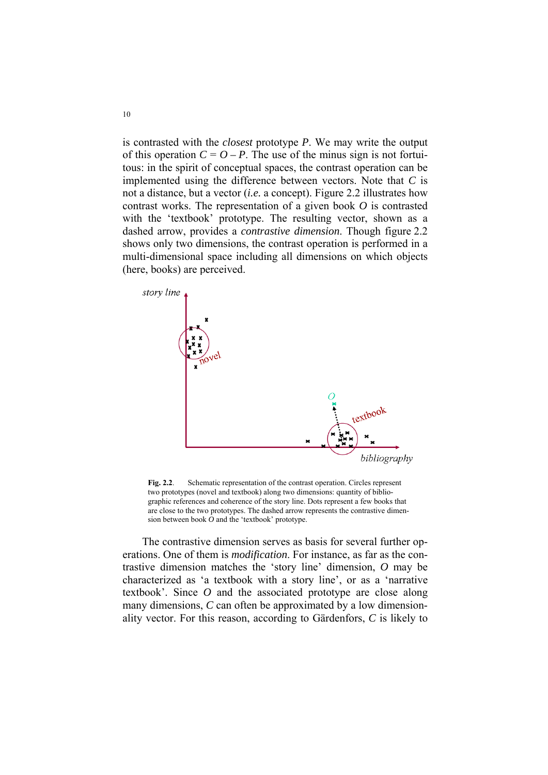is contrasted with the *closest* prototype *P*. We may write the output of this operation  $C = O - P$ . The use of the minus sign is not fortuitous: in the spirit of conceptual spaces, the contrast operation can be implemented using the difference between vectors. Note that *C* is not a distance, but a vector (*i.e.* a concept). Figure 2.2 illustrates how contrast works. The representation of a given book *O* is contrasted with the 'textbook' prototype. The resulting vector, shown as a dashed arrow, provides a *contrastive dimension*. Though figure 2.2 shows only two dimensions, the contrast operation is performed in a multi-dimensional space including all dimensions on which objects (here, books) are perceived.



**Fig. 2.2**. Schematic representation of the contrast operation. Circles represent two prototypes (novel and textbook) along two dimensions: quantity of bibliographic references and coherence of the story line. Dots represent a few books that are close to the two prototypes. The dashed arrow represents the contrastive dimension between book *O* and the 'textbook' prototype.

The contrastive dimension serves as basis for several further operations. One of them is *modification*. For instance, as far as the contrastive dimension matches the 'story line' dimension, *O* may be characterized as 'a textbook with a story line', or as a 'narrative textbook'. Since *O* and the associated prototype are close along many dimensions, *C* can often be approximated by a low dimensionality vector. For this reason, according to Gärdenfors, *C* is likely to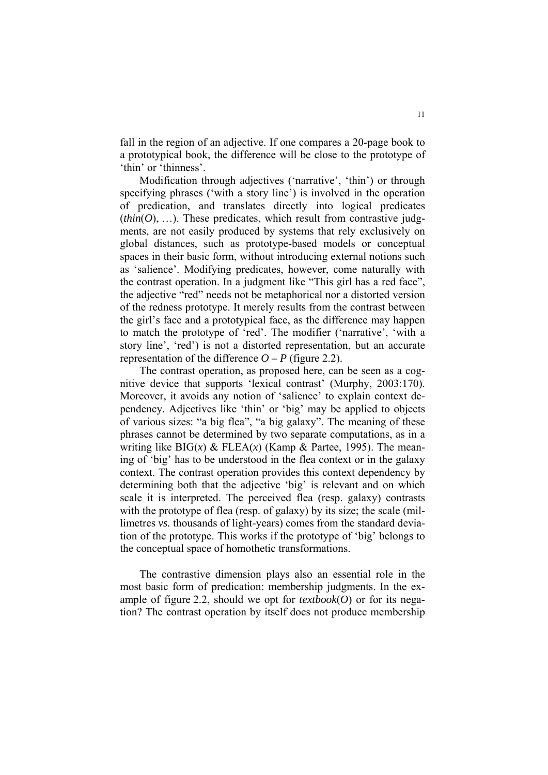fall in the region of an adjective. If one compares a 20-page book to a prototypical book, the difference will be close to the prototype of 'thin' or 'thinness'.

Modification through adjectives ('narrative', 'thin') or through specifying phrases ('with a story line') is involved in the operation of predication, and translates directly into logical predicates  $(thin(O), ...)$ . These predicates, which result from contrastive judgments, are not easily produced by systems that rely exclusively on global distances, such as prototype-based models or conceptual spaces in their basic form, without introducing external notions such as 'salience'. Modifying predicates, however, come naturally with the contrast operation. In a judgment like "This girl has a red face", the adjective "red" needs not be metaphorical nor a distorted version of the redness prototype. It merely results from the contrast between the girl's face and a prototypical face, as the difference may happen to match the prototype of 'red'. The modifier ('narrative', 'with a story line', 'red') is not a distorted representation, but an accurate representation of the difference  $O - P$  (figure 2.2).

The contrast operation, as proposed here, can be seen as a cognitive device that supports 'lexical contrast' (Murphy, 2003:170). Moreover, it avoids any notion of 'salience' to explain context dependency. Adjectives like 'thin' or 'big' may be applied to objects of various sizes: "a big flea", "a big galaxy". The meaning of these phrases cannot be determined by two separate computations, as in a writing like  $BIG(x)$  & FLEA(x) (Kamp & Partee, 1995). The meaning of 'big' has to be understood in the flea context or in the galaxy context. The contrast operation provides this context dependency by determining both that the adjective 'big' is relevant and on which scale it is interpreted. The perceived flea (resp. galaxy) contrasts with the prototype of flea (resp. of galaxy) by its size; the scale (millimetres *vs.* thousands of light-years) comes from the standard deviation of the prototype. This works if the prototype of 'big' belongs to the conceptual space of homothetic transformations.

The contrastive dimension plays also an essential role in the most basic form of predication: membership judgments. In the example of figure 2.2, should we opt for *textbook*(*O*) or for its negation? The contrast operation by itself does not produce membership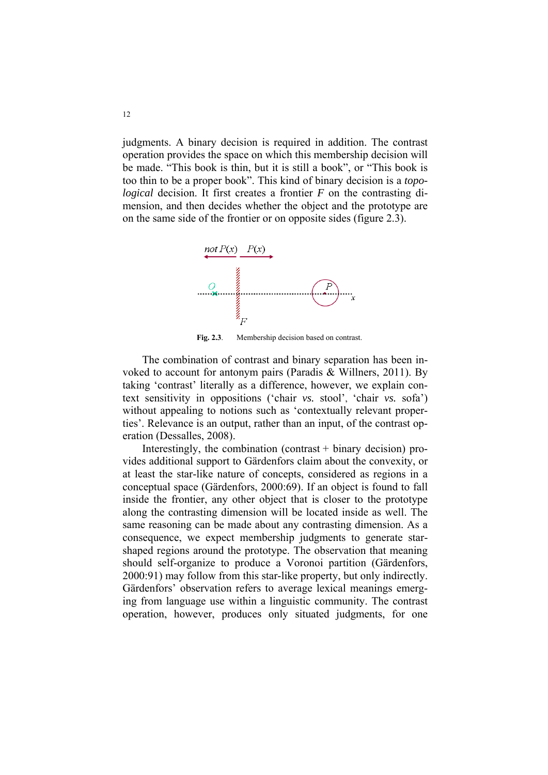judgments. A binary decision is required in addition. The contrast operation provides the space on which this membership decision will be made. "This book is thin, but it is still a book", or "This book is too thin to be a proper book". This kind of binary decision is a *topological* decision. It first creates a frontier *F* on the contrasting dimension, and then decides whether the object and the prototype are on the same side of the frontier or on opposite sides (figure 2.3).



**Fig. 2.3**. Membership decision based on contrast.

The combination of contrast and binary separation has been invoked to account for antonym pairs (Paradis & Willners, 2011). By taking 'contrast' literally as a difference, however, we explain context sensitivity in oppositions ('chair *vs.* stool', 'chair *vs.* sofa') without appealing to notions such as 'contextually relevant properties'. Relevance is an output, rather than an input, of the contrast operation (Dessalles, 2008).

Interestingly, the combination (contrast  $+$  binary decision) provides additional support to Gärdenfors claim about the convexity, or at least the star-like nature of concepts, considered as regions in a conceptual space (Gärdenfors, 2000:69). If an object is found to fall inside the frontier, any other object that is closer to the prototype along the contrasting dimension will be located inside as well. The same reasoning can be made about any contrasting dimension. As a consequence, we expect membership judgments to generate starshaped regions around the prototype. The observation that meaning should self-organize to produce a Voronoi partition (Gärdenfors, 2000:91) may follow from this star-like property, but only indirectly. Gärdenfors' observation refers to average lexical meanings emerging from language use within a linguistic community. The contrast operation, however, produces only situated judgments, for one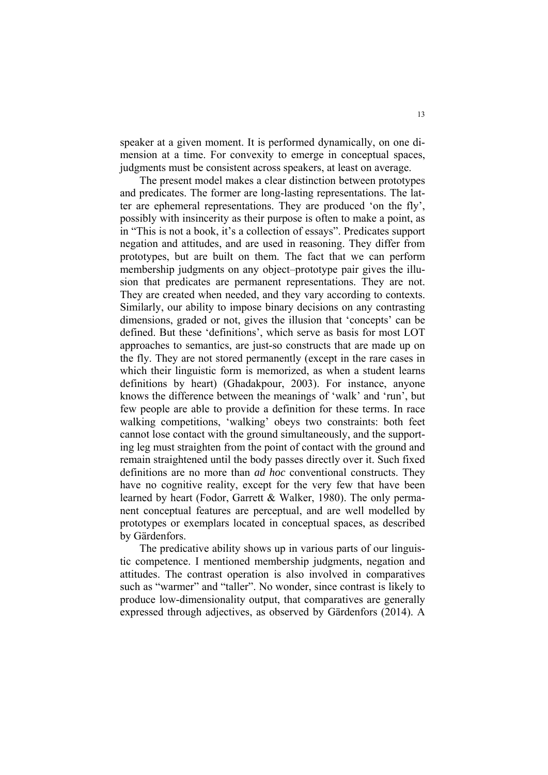speaker at a given moment. It is performed dynamically, on one dimension at a time. For convexity to emerge in conceptual spaces, judgments must be consistent across speakers, at least on average.

The present model makes a clear distinction between prototypes and predicates. The former are long-lasting representations. The latter are ephemeral representations. They are produced 'on the fly', possibly with insincerity as their purpose is often to make a point, as in "This is not a book, it's a collection of essays". Predicates support negation and attitudes, and are used in reasoning. They differ from prototypes, but are built on them. The fact that we can perform membership judgments on any object–prototype pair gives the illusion that predicates are permanent representations. They are not. They are created when needed, and they vary according to contexts. Similarly, our ability to impose binary decisions on any contrasting dimensions, graded or not, gives the illusion that 'concepts' can be defined. But these 'definitions', which serve as basis for most LOT approaches to semantics, are just-so constructs that are made up on the fly. They are not stored permanently (except in the rare cases in which their linguistic form is memorized, as when a student learns definitions by heart) (Ghadakpour, 2003). For instance, anyone knows the difference between the meanings of 'walk' and 'run', but few people are able to provide a definition for these terms. In race walking competitions, 'walking' obeys two constraints: both feet cannot lose contact with the ground simultaneously, and the supporting leg must straighten from the point of contact with the ground and remain straightened until the body passes directly over it. Such fixed definitions are no more than *ad hoc* conventional constructs. They have no cognitive reality, except for the very few that have been learned by heart (Fodor, Garrett & Walker, 1980). The only permanent conceptual features are perceptual, and are well modelled by prototypes or exemplars located in conceptual spaces, as described by Gärdenfors.

The predicative ability shows up in various parts of our linguistic competence. I mentioned membership judgments, negation and attitudes. The contrast operation is also involved in comparatives such as "warmer" and "taller". No wonder, since contrast is likely to produce low-dimensionality output, that comparatives are generally expressed through adjectives, as observed by Gärdenfors (2014). A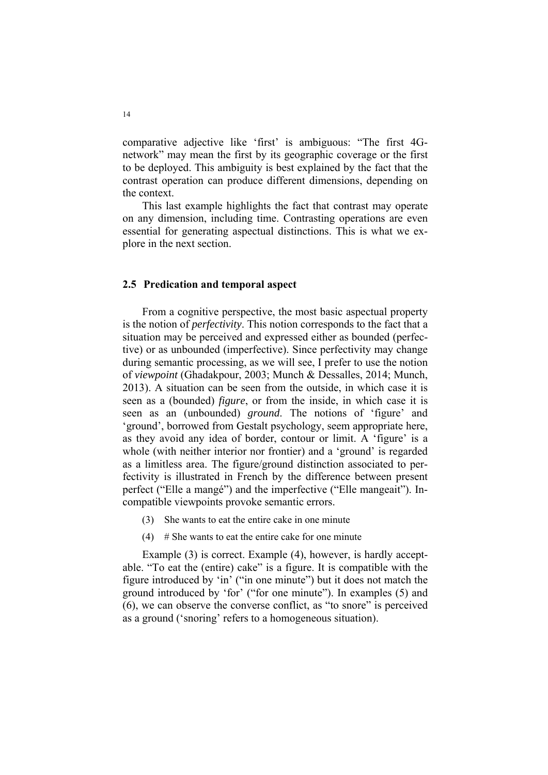comparative adjective like 'first' is ambiguous: "The first 4Gnetwork" may mean the first by its geographic coverage or the first to be deployed. This ambiguity is best explained by the fact that the contrast operation can produce different dimensions, depending on the context.

This last example highlights the fact that contrast may operate on any dimension, including time. Contrasting operations are even essential for generating aspectual distinctions. This is what we explore in the next section.

#### **2.5 Predication and temporal aspect**

From a cognitive perspective, the most basic aspectual property is the notion of *perfectivity*. This notion corresponds to the fact that a situation may be perceived and expressed either as bounded (perfective) or as unbounded (imperfective). Since perfectivity may change during semantic processing, as we will see, I prefer to use the notion of *viewpoint* (Ghadakpour, 2003; Munch & Dessalles, 2014; Munch, 2013). A situation can be seen from the outside, in which case it is seen as a (bounded) *figure*, or from the inside, in which case it is seen as an (unbounded) *ground*. The notions of 'figure' and 'ground', borrowed from Gestalt psychology, seem appropriate here, as they avoid any idea of border, contour or limit. A 'figure' is a whole (with neither interior nor frontier) and a 'ground' is regarded as a limitless area. The figure/ground distinction associated to perfectivity is illustrated in French by the difference between present perfect ("Elle a mangé") and the imperfective ("Elle mangeait"). Incompatible viewpoints provoke semantic errors.

- (3) She wants to eat the entire cake in one minute
- $(4)$  # She wants to eat the entire cake for one minute

Example (3) is correct. Example (4), however, is hardly acceptable. "To eat the (entire) cake" is a figure. It is compatible with the figure introduced by 'in' ("in one minute") but it does not match the ground introduced by 'for' ("for one minute"). In examples (5) and (6), we can observe the converse conflict, as "to snore" is perceived as a ground ('snoring' refers to a homogeneous situation).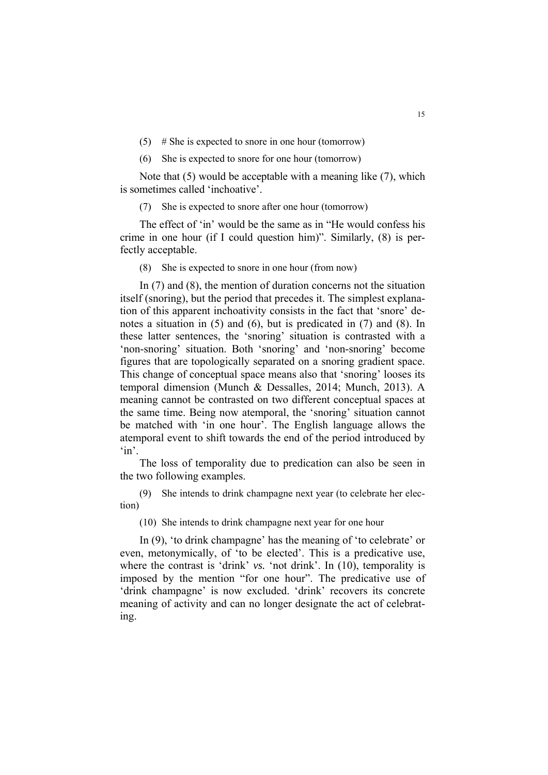- (5) # She is expected to snore in one hour (tomorrow)
- (6) She is expected to snore for one hour (tomorrow)

Note that (5) would be acceptable with a meaning like (7), which is sometimes called 'inchoative'.

(7) She is expected to snore after one hour (tomorrow)

The effect of 'in' would be the same as in "He would confess his crime in one hour (if I could question him)". Similarly, (8) is perfectly acceptable.

(8) She is expected to snore in one hour (from now)

In (7) and (8), the mention of duration concerns not the situation itself (snoring), but the period that precedes it. The simplest explanation of this apparent inchoativity consists in the fact that 'snore' denotes a situation in (5) and (6), but is predicated in (7) and (8). In these latter sentences, the 'snoring' situation is contrasted with a 'non-snoring' situation. Both 'snoring' and 'non-snoring' become figures that are topologically separated on a snoring gradient space. This change of conceptual space means also that 'snoring' looses its temporal dimension (Munch & Dessalles, 2014; Munch, 2013). A meaning cannot be contrasted on two different conceptual spaces at the same time. Being now atemporal, the 'snoring' situation cannot be matched with 'in one hour'. The English language allows the atemporal event to shift towards the end of the period introduced by  $\sin$ '.

The loss of temporality due to predication can also be seen in the two following examples.

(9) She intends to drink champagne next year (to celebrate her election)

(10) She intends to drink champagne next year for one hour

In (9), 'to drink champagne' has the meaning of 'to celebrate' or even, metonymically, of 'to be elected'. This is a predicative use, where the contrast is 'drink' *vs.* 'not drink'. In (10), temporality is imposed by the mention "for one hour". The predicative use of 'drink champagne' is now excluded. 'drink' recovers its concrete meaning of activity and can no longer designate the act of celebrating.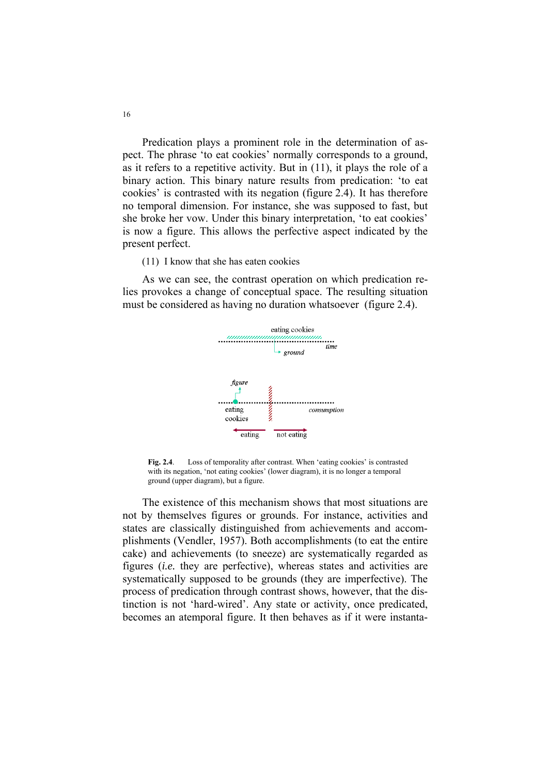Predication plays a prominent role in the determination of aspect. The phrase 'to eat cookies' normally corresponds to a ground, as it refers to a repetitive activity. But in (11), it plays the role of a binary action. This binary nature results from predication: 'to eat cookies' is contrasted with its negation (figure 2.4). It has therefore no temporal dimension. For instance, she was supposed to fast, but she broke her vow. Under this binary interpretation, 'to eat cookies' is now a figure. This allows the perfective aspect indicated by the present perfect.

(11) I know that she has eaten cookies

As we can see, the contrast operation on which predication relies provokes a change of conceptual space. The resulting situation must be considered as having no duration whatsoever (figure 2.4).



**Fig. 2.4**. Loss of temporality after contrast. When 'eating cookies' is contrasted with its negation, 'not eating cookies' (lower diagram), it is no longer a temporal ground (upper diagram), but a figure.

The existence of this mechanism shows that most situations are not by themselves figures or grounds. For instance, activities and states are classically distinguished from achievements and accomplishments (Vendler, 1957). Both accomplishments (to eat the entire cake) and achievements (to sneeze) are systematically regarded as figures (*i.e.* they are perfective), whereas states and activities are systematically supposed to be grounds (they are imperfective). The process of predication through contrast shows, however, that the distinction is not 'hard-wired'. Any state or activity, once predicated, becomes an atemporal figure. It then behaves as if it were instanta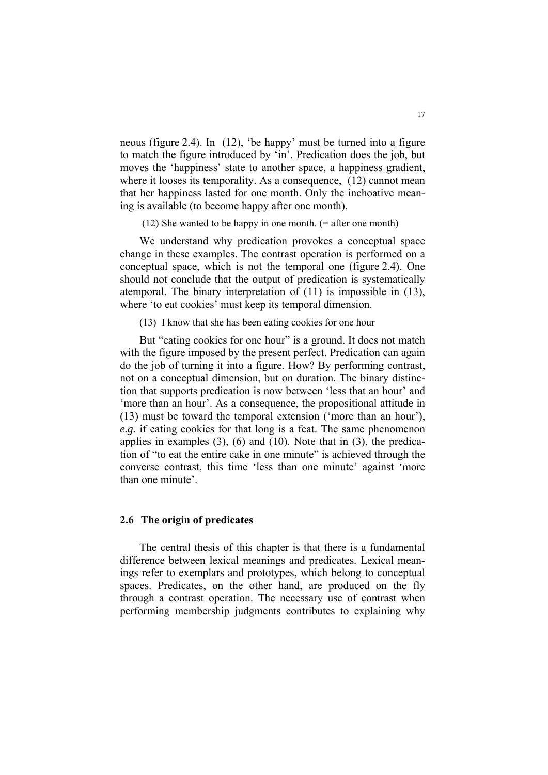neous (figure 2.4). In (12), 'be happy' must be turned into a figure to match the figure introduced by 'in'. Predication does the job, but moves the 'happiness' state to another space, a happiness gradient, where it looses its temporality. As a consequence, (12) cannot mean that her happiness lasted for one month. Only the inchoative meaning is available (to become happy after one month).

(12) She wanted to be happy in one month. (= after one month)

We understand why predication provokes a conceptual space change in these examples. The contrast operation is performed on a conceptual space, which is not the temporal one (figure 2.4). One should not conclude that the output of predication is systematically atemporal. The binary interpretation of (11) is impossible in (13), where 'to eat cookies' must keep its temporal dimension.

(13) I know that she has been eating cookies for one hour

But "eating cookies for one hour" is a ground. It does not match with the figure imposed by the present perfect. Predication can again do the job of turning it into a figure. How? By performing contrast, not on a conceptual dimension, but on duration. The binary distinction that supports predication is now between 'less that an hour' and 'more than an hour'. As a consequence, the propositional attitude in (13) must be toward the temporal extension ('more than an hour'), *e.g.* if eating cookies for that long is a feat. The same phenomenon applies in examples  $(3)$ ,  $(6)$  and  $(10)$ . Note that in  $(3)$ , the predication of "to eat the entire cake in one minute" is achieved through the converse contrast, this time 'less than one minute' against 'more than one minute'.

### **2.6 The origin of predicates**

The central thesis of this chapter is that there is a fundamental difference between lexical meanings and predicates. Lexical meanings refer to exemplars and prototypes, which belong to conceptual spaces. Predicates, on the other hand, are produced on the fly through a contrast operation. The necessary use of contrast when performing membership judgments contributes to explaining why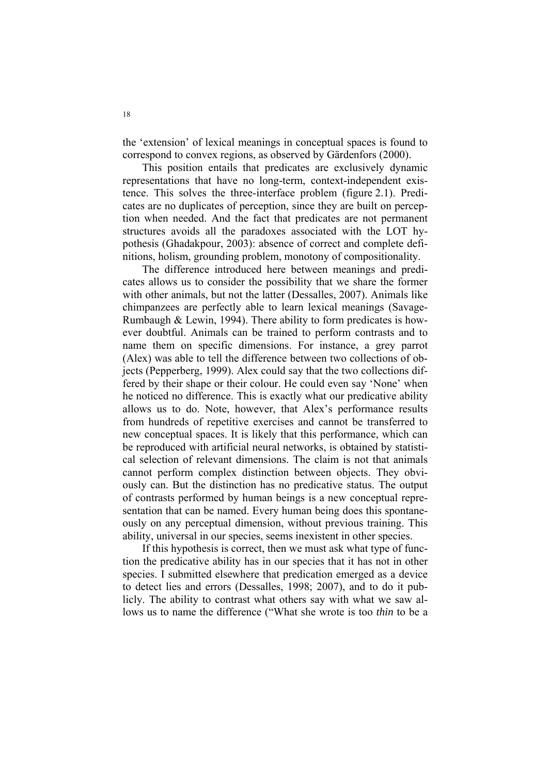the 'extension' of lexical meanings in conceptual spaces is found to correspond to convex regions, as observed by Gärdenfors (2000).

This position entails that predicates are exclusively dynamic representations that have no long-term, context-independent existence. This solves the three-interface problem (figure 2.1). Predicates are no duplicates of perception, since they are built on perception when needed. And the fact that predicates are not permanent structures avoids all the paradoxes associated with the LOT hypothesis (Ghadakpour, 2003): absence of correct and complete definitions, holism, grounding problem, monotony of compositionality.

The difference introduced here between meanings and predicates allows us to consider the possibility that we share the former with other animals, but not the latter (Dessalles, 2007). Animals like chimpanzees are perfectly able to learn lexical meanings (Savage-Rumbaugh & Lewin, 1994). There ability to form predicates is however doubtful. Animals can be trained to perform contrasts and to name them on specific dimensions. For instance, a grey parrot (Alex) was able to tell the difference between two collections of objects (Pepperberg, 1999). Alex could say that the two collections differed by their shape or their colour. He could even say 'None' when he noticed no difference. This is exactly what our predicative ability allows us to do. Note, however, that Alex's performance results from hundreds of repetitive exercises and cannot be transferred to new conceptual spaces. It is likely that this performance, which can be reproduced with artificial neural networks, is obtained by statistical selection of relevant dimensions. The claim is not that animals cannot perform complex distinction between objects. They obviously can. But the distinction has no predicative status. The output of contrasts performed by human beings is a new conceptual representation that can be named. Every human being does this spontaneously on any perceptual dimension, without previous training. This ability, universal in our species, seems inexistent in other species.

If this hypothesis is correct, then we must ask what type of function the predicative ability has in our species that it has not in other species. I submitted elsewhere that predication emerged as a device to detect lies and errors (Dessalles, 1998; 2007), and to do it publicly. The ability to contrast what others say with what we saw allows us to name the difference ("What she wrote is too *thin* to be a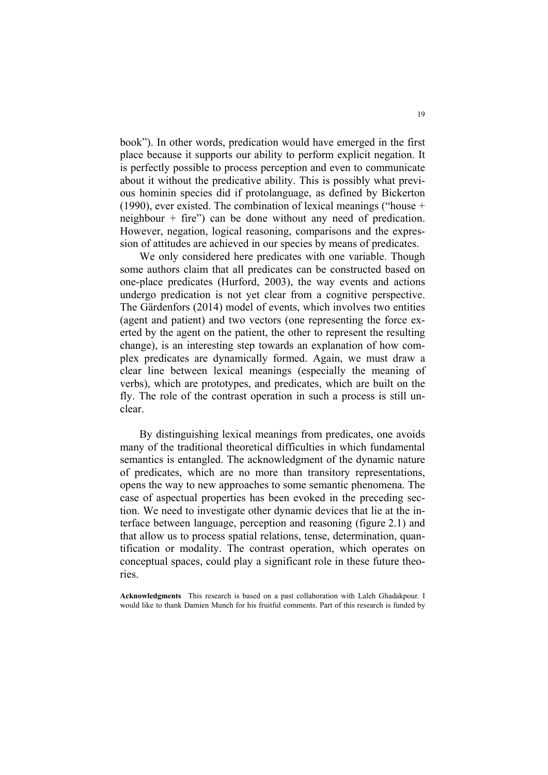book"). In other words, predication would have emerged in the first place because it supports our ability to perform explicit negation. It is perfectly possible to process perception and even to communicate about it without the predicative ability. This is possibly what previous hominin species did if protolanguage, as defined by Bickerton (1990), ever existed. The combination of lexical meanings ("house + neighbour + fire") can be done without any need of predication. However, negation, logical reasoning, comparisons and the expression of attitudes are achieved in our species by means of predicates.

We only considered here predicates with one variable. Though some authors claim that all predicates can be constructed based on one-place predicates (Hurford, 2003), the way events and actions undergo predication is not yet clear from a cognitive perspective. The Gärdenfors (2014) model of events, which involves two entities (agent and patient) and two vectors (one representing the force exerted by the agent on the patient, the other to represent the resulting change), is an interesting step towards an explanation of how complex predicates are dynamically formed. Again, we must draw a clear line between lexical meanings (especially the meaning of verbs), which are prototypes, and predicates, which are built on the fly. The role of the contrast operation in such a process is still unclear.

By distinguishing lexical meanings from predicates, one avoids many of the traditional theoretical difficulties in which fundamental semantics is entangled. The acknowledgment of the dynamic nature of predicates, which are no more than transitory representations, opens the way to new approaches to some semantic phenomena. The case of aspectual properties has been evoked in the preceding section. We need to investigate other dynamic devices that lie at the interface between language, perception and reasoning (figure 2.1) and that allow us to process spatial relations, tense, determination, quantification or modality. The contrast operation, which operates on conceptual spaces, could play a significant role in these future theories.

**Acknowledgments** This research is based on a past collaboration with Laleh Ghadakpour. I would like to thank Damien Munch for his fruitful comments. Part of this research is funded by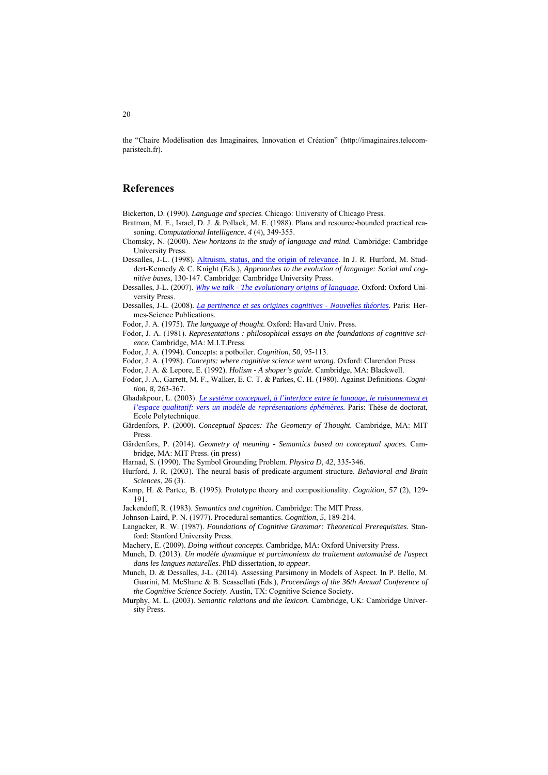the "Chaire Modélisation des Imaginaires, Innovation et Création" (http://imaginaires.telecomparistech.fr).

#### **References**

Bickerton, D. (1990). *Language and species.* Chicago: University of Chicago Press.

- Bratman, M. E., Israel, D. J. & Pollack, M. E. (1988). Plans and resource-bounded practical reasoning. *Computational Intelligence*, *4* (4), 349-355.
- Chomsky, N. (2000). *New horizons in the study of language and mind.* Cambridge: Cambridge University Press.
- Dessalles, J-L. (1998). Altruism, status, and the origin of relevance. In J. R. Hurford, M. Studdert-Kennedy & C. Knight (Eds.), *Approaches to the evolution of language: Social and cognitive bases*, 130-147. Cambridge: Cambridge University Press.
- Dessalles, J-L. (2007). *Why we talk The evolutionary origins of language.* Oxford: Oxford University Press.
- Dessalles, J-L. (2008). *La pertinence et ses origines cognitives Nouvelles théories.* Paris: Hermes-Science Publications.
- Fodor, J. A. (1975). *The language of thought.* Oxford: Havard Univ. Press.
- Fodor, J. A. (1981). *Representations : philosophical essays on the foundations of cognitive science.* Cambridge, MA: M.I.T.Press.
- Fodor, J. A. (1994). Concepts: a potboiler. *Cognition*, *50*, 95-113.
- Fodor, J. A. (1998). *Concepts: where cognitive science went wrong.* Oxford: Clarendon Press.
- Fodor, J. A. & Lepore, E. (1992). *Holism A shoper's guide.* Cambridge, MA: Blackwell.
- Fodor, J. A., Garrett, M. F., Walker, E. C. T. & Parkes, C. H. (1980). Against Definitions. *Cognition*, *8*, 263-367.
- Ghadakpour, L. (2003). *Le système conceptuel, à l'interface entre le langage, le raisonnement et l'espace qualitatif: vers un modèle de représentations éphémères.* Paris: Thèse de doctorat, Ecole Polytechnique.
- Gärdenfors, P. (2000). *Conceptual Spaces: The Geometry of Thought.* Cambridge, MA: MIT Press.
- Gärdenfors, P. (2014). *Geometry of meaning Semantics based on conceptual spaces.* Cambridge, MA: MIT Press. (in press)
- Harnad, S. (1990). The Symbol Grounding Problem. *Physica D*, *42*, 335-346.
- Hurford, J. R. (2003). The neural basis of predicate-argument structure. *Behavioral and Brain Sciences*, *26* (3).
- Kamp, H. & Partee, B. (1995). Prototype theory and compositionality. *Cognition*, *57* (2), 129- 191.
- Jackendoff, R. (1983). *Semantics and cognition.* Cambridge: The MIT Press.
- Johnson-Laird, P. N. (1977). Procedural semantics. *Cognition*, *5*, 189-214.
- Langacker, R. W. (1987). *Foundations of Cognitive Grammar: Theoretical Prerequisites.* Stanford: Stanford University Press.
- Machery, E. (2009). *Doing without concepts*. Cambridge, MA: Oxford University Press.
- Munch, D. (2013). *Un modèle dynamique et parcimonieux du traitement automatisé de l'aspect dans les langues naturelles*. PhD dissertation, *to appear.*
- Munch, D. & Dessalles, J-L. (2014). Assessing Parsimony in Models of Aspect. In P. Bello, M. Guarini, M. McShane & B. Scassellati (Eds.), *Proceedings of the 36th Annual Conference of the Cognitive Science Society*. Austin, TX: Cognitive Science Society.
- Murphy, M. L. (2003). *Semantic relations and the lexicon.* Cambridge, UK: Cambridge University Press.

20